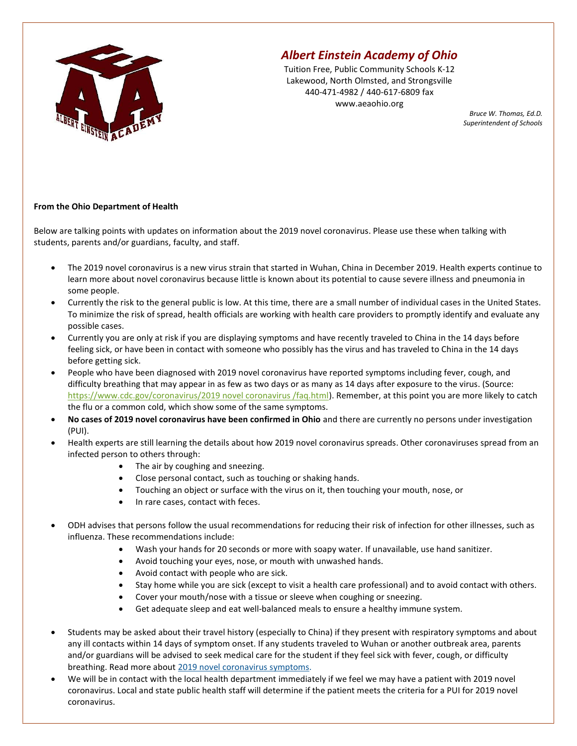

## Albert Einstein Academy of Ohio

Tuition Free, Public Community Schools K-12 Lakewood, North Olmsted, and Strongsville 440-471-4982 / 440-617-6809 fax www.aeaohio.org

Bruce W. Thomas, Ed.D. Superintendent of Schools

## From the Ohio Department of Health

Below are talking points with updates on information about the 2019 novel coronavirus. Please use these when talking with students, parents and/or guardians, faculty, and staff.

- The 2019 novel coronavirus is a new virus strain that started in Wuhan, China in December 2019. Health experts continue to learn more about novel coronavirus because little is known about its potential to cause severe illness and pneumonia in some people.
- Currently the risk to the general public is low. At this time, there are a small number of individual cases in the United States. To minimize the risk of spread, health officials are working with health care providers to promptly identify and evaluate any possible cases.
- Currently you are only at risk if you are displaying symptoms and have recently traveled to China in the 14 days before feeling sick, or have been in contact with someone who possibly has the virus and has traveled to China in the 14 days before getting sick.
- People who have been diagnosed with 2019 novel coronavirus have reported symptoms including fever, cough, and difficulty breathing that may appear in as few as two days or as many as 14 days after exposure to the virus. (Source: https://www.cdc.gov/coronavirus/2019 novel coronavirus /faq.html). Remember, at this point you are more likely to catch the flu or a common cold, which show some of the same symptoms.
- No cases of 2019 novel coronavirus have been confirmed in Ohio and there are currently no persons under investigation (PUI).
- Health experts are still learning the details about how 2019 novel coronavirus spreads. Other coronaviruses spread from an infected person to others through:
	- The air by coughing and sneezing.
	- Close personal contact, such as touching or shaking hands.
	- Touching an object or surface with the virus on it, then touching your mouth, nose, or
	- In rare cases, contact with feces.
- ODH advises that persons follow the usual recommendations for reducing their risk of infection for other illnesses, such as influenza. These recommendations include:
	- Wash your hands for 20 seconds or more with soapy water. If unavailable, use hand sanitizer.
	- Avoid touching your eyes, nose, or mouth with unwashed hands.
	- Avoid contact with people who are sick.
	- Stay home while you are sick (except to visit a health care professional) and to avoid contact with others.
	- Cover your mouth/nose with a tissue or sleeve when coughing or sneezing.
	- Get adequate sleep and eat well-balanced meals to ensure a healthy immune system.
- Students may be asked about their travel history (especially to China) if they present with respiratory symptoms and about any ill contacts within 14 days of symptom onset. If any students traveled to Wuhan or another outbreak area, parents and/or guardians will be advised to seek medical care for the student if they feel sick with fever, cough, or difficulty breathing. Read more about 2019 novel coronavirus symptoms.
- We will be in contact with the local health department immediately if we feel we may have a patient with 2019 novel coronavirus. Local and state public health staff will determine if the patient meets the criteria for a PUI for 2019 novel coronavirus.